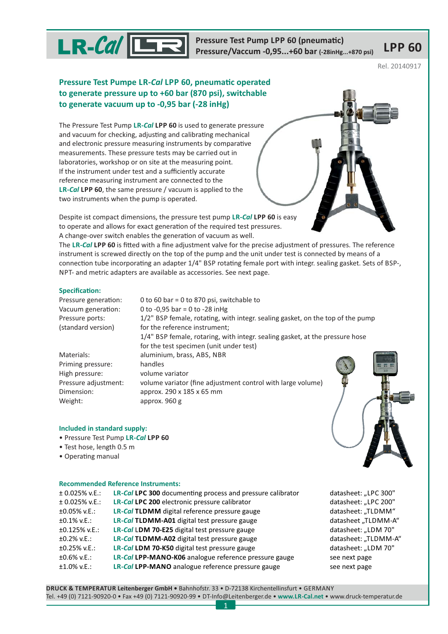

Pressure Test Pump LPP 60 (pneumatic)<br>Pressure/Vaccum -0,95...+60 bar (-28inHg...+870 psi) KPP 60 **Pressure Test Pump LPP 60 (pneumatic)** 

Rel. 20140917

# **Pressure Test Pumpe LR-Cal LPP 60, pneumatic operated to generate pressure up to +60 bar (870 psi), switchable to generate vacuum up to -0,95 bar (-28 inHg)**

The Pressure Test Pump LR-*Cal* LPP 60 is used to generate pressure and vacuum for checking, adjusting and calibrating mechanical and electronic pressure measuring instruments by comparative measurements. These pressure tests may be carried out in laboratories, workshop or on site at the measuring point. If the instrument under test and a sufficiently accurate reference measuring instrument are connected to the **LR-***Cal* **LPP 60**, the same pressure / vacuum is applied to the two instruments when the pump is operated.

Despite ist compact dimensions, the pressure test pump LR-Cal LPP 60 is easy to operate and allows for exact generation of the required test pressures. A change-over switch enables the generation of vacuum as well.

The LR-Cal LPP 60 is fitted with a fine adjustment valve for the precise adjustment of pressures. The reference instrument is screwed directly on the top of the pump and the unit under test is connected by means of a connection tube incorporating an adapter 1/4" BSP rotating female port with integr. sealing gasket. Sets of BSP-, NPT- and metric adapters are available as accessories. See next page.

0 to 60 bar = 0 to 870 psi, switchable to

### **Specification:**

| Pressure generation: |  |
|----------------------|--|
| Vacuum generation:   |  |
| Pressure ports:      |  |
| (standard version)   |  |

0 to -0,95 bar = 0 to -28 inHg Pressure ports: 1/2" BSP female, rotating, with integr. sealing gasket, on the top of the pump for the reference instrument: 1/4" BSP female, rotaring, with integr. sealing gasket, at the pressure hose for the test specimen (unit under test) Materials: aluminium, brass, ABS, NBR Priming pressure: handles High pressure: volume variator Pressure adjustment: volume variator (fine adjustment control with large volume) Dimension: approx. 290 x 185 x 65 mm Weight: approx. 960 g

## **Included in standard supply:**

- Pressure Test Pump **LR-***Cal* **LPP 60**
- Test hose, length 0.5 m
- Operating manual

### **Recommended Reference Instruments:**

| $± 0.025\%$ v.E.: | <b>LR-Cal LPC 300 documenting process and pressure calibrator</b> |
|-------------------|-------------------------------------------------------------------|
| $± 0.025\%$ v.E.: | LR-Cal LPC 200 electronic pressure calibrator                     |
| $±0.05\%$ v.E.:   | LR-Cal TLDMM digital reference pressure gauge                     |
| $±0.1\%$ v.E.:    | LR-Cal TLDMM-A01 digital test pressure gauge                      |
| $±0.125\%$ v.E.:  | LR-Cal LDM 70-E25 digital test pressure gauge                     |
| $±0.2\%$ v.E.:    | LR-Cal TLDMM-A02 digital test pressure gauge                      |
| $±0.25\%$ v.E.:   | LR-Cal LDM 70-K50 digital test pressure gauge                     |
| $±0.6\%$ v.E.:    | LR-Cal LPP-MANO-K06 analogue reference pressure gauge             |
| $±1.0\%$ v.E.:    | LR-Cal LPP-MANO analogue reference pressure gauge                 |

datasheet: "LPC 300" ± 0.025% v.E.: electronic pressure calibrator datasheet: "LPC 200" **LR-***Cal* **LPC 200**  $datasheet: . . TLDMM''$ ±0.1% v.E.: digital test pressure gauge datasheet "TLDMM-A" **LR-***Cal* **TLDMM-A01**  $datasheet:$  "LDM 70" ±0.2% v.E.: digital test pressure gauge datasheet: "TLDMM-A" **LR-***Cal* **TLDMM-A02** ±0.25% v.E.: digital test pressure gauge datasheet: "LDM 70" **LR-***Cal* **LDM 70-K50** ±0.6% v.E.: analogue reference pressure gauge see next page **LR-***Cal* **LPP-MANO-K06** ±1.0% v.E.: analogue reference pressure gauge see next page **LR-***Cal* **LPP-MANO**

**DRUCK & TEMPERATUR Leitenberger GmbH •** Bahnhofstr. 33 • D-72138 Kirchentellinsfurt • GERMANY Tel. +49 (0) 7121-90920-0 • Fax +49 (0) 7121-90920-99 • DT-Info@Leitenberger.de • • www.druck-temperatur.de **www.LR-Cal.net**